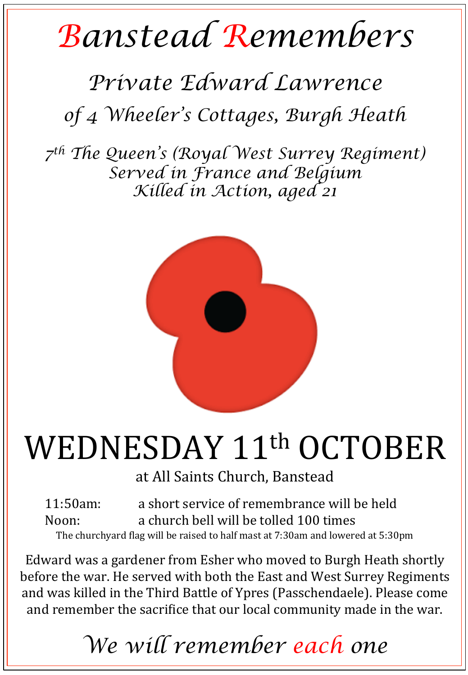## *Banstead Remembers*

## *Private Edward Lawrence*

*of 4 Wheeler's Cottages, Burgh Heath*

*7th The Queen's (Royal West Surrey Regiment) Served in France and Belgium Killed in Action, aged 21* 



## WEDNESDAY 11<sup>th</sup> OCTOBER

at All Saints Church, Banstead

11:50am: a short service of remembrance will be held Noon: a church bell will be tolled 100 times The churchyard flag will be raised to half mast at 7:30am and lowered at 5:30pm

Edward was a gardener from Esher who moved to Burgh Heath shortly before the war. He served with both the East and West Surrey Regiments and was killed in the Third Battle of Ypres (Passchendaele). Please come and remember the sacrifice that our local community made in the war.

*We will remember each one*